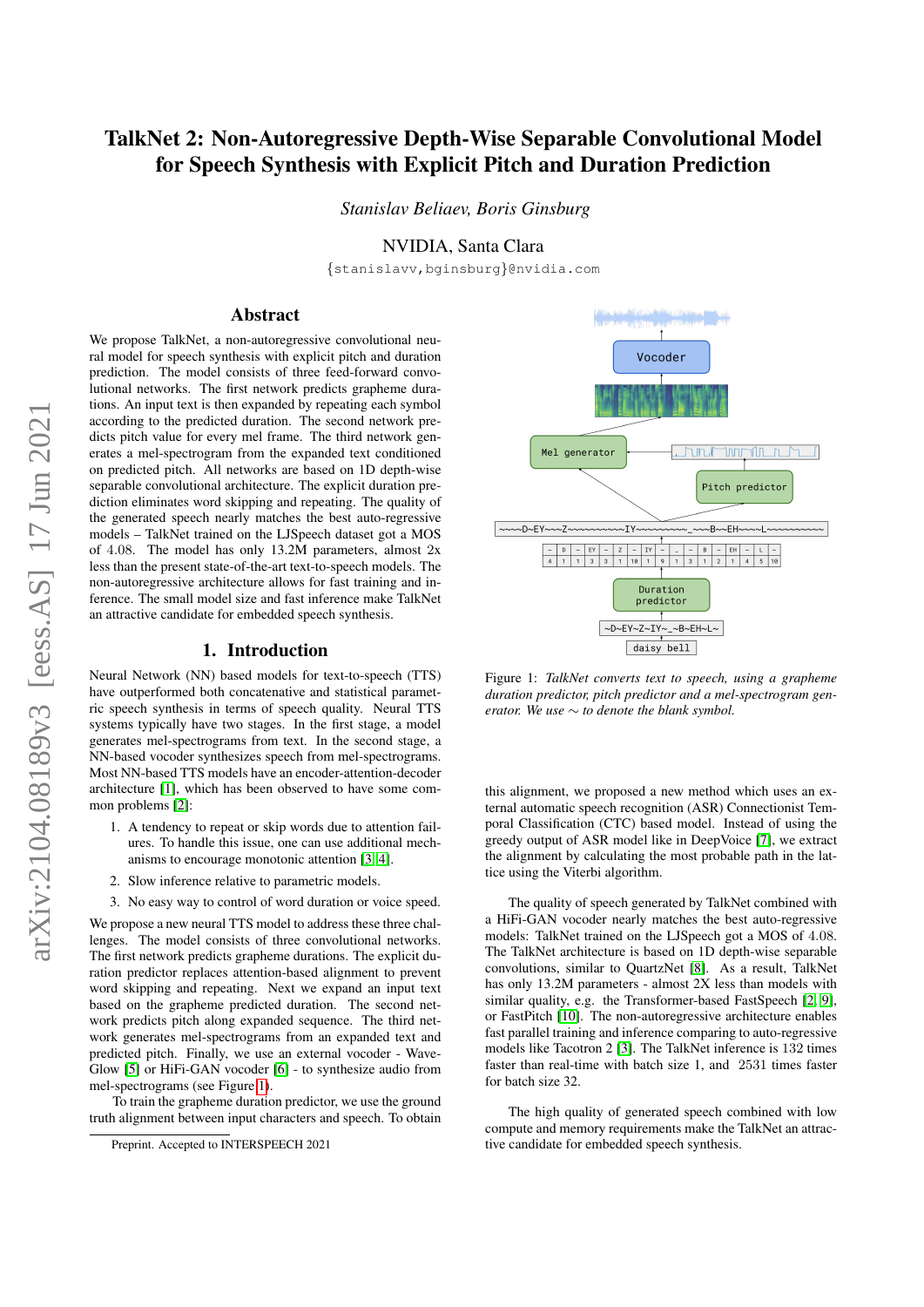# TalkNet 2: Non-Autoregressive Depth-Wise Separable Convolutional Model for Speech Synthesis with Explicit Pitch and Duration Prediction

*Stanislav Beliaev, Boris Ginsburg*

# NVIDIA, Santa Clara

{stanislavv,bginsburg}@nvidia.com

# Abstract

We propose TalkNet, a non-autoregressive convolutional neural model for speech synthesis with explicit pitch and duration prediction. The model consists of three feed-forward convolutional networks. The first network predicts grapheme durations. An input text is then expanded by repeating each symbol according to the predicted duration. The second network predicts pitch value for every mel frame. The third network generates a mel-spectrogram from the expanded text conditioned on predicted pitch. All networks are based on 1D depth-wise separable convolutional architecture. The explicit duration prediction eliminates word skipping and repeating. The quality of the generated speech nearly matches the best auto-regressive models – TalkNet trained on the LJSpeech dataset got a MOS of 4.08. The model has only 13.2M parameters, almost 2x less than the present state-of-the-art text-to-speech models. The non-autoregressive architecture allows for fast training and inference. The small model size and fast inference make TalkNet an attractive candidate for embedded speech synthesis.

### 1. Introduction

Neural Network (NN) based models for text-to-speech (TTS) have outperformed both concatenative and statistical parametric speech synthesis in terms of speech quality. Neural TTS systems typically have two stages. In the first stage, a model generates mel-spectrograms from text. In the second stage, a NN-based vocoder synthesizes speech from mel-spectrograms. Most NN-based TTS models have an encoder-attention-decoder architecture [\[1\]](#page-3-0), which has been observed to have some common problems [\[2\]](#page-3-1):

- 1. A tendency to repeat or skip words due to attention failures. To handle this issue, one can use additional mechanisms to encourage monotonic attention [\[3,](#page-3-2) [4\]](#page-3-3).
- 2. Slow inference relative to parametric models.
- 3. No easy way to control of word duration or voice speed.

We propose a new neural TTS model to address these three challenges. The model consists of three convolutional networks. The first network predicts grapheme durations. The explicit duration predictor replaces attention-based alignment to prevent word skipping and repeating. Next we expand an input text based on the grapheme predicted duration. The second network predicts pitch along expanded sequence. The third network generates mel-spectrograms from an expanded text and predicted pitch. Finally, we use an external vocoder - Wave-Glow [\[5\]](#page-3-4) or HiFi-GAN vocoder [\[6\]](#page-3-5) - to synthesize audio from mel-spectrograms (see Figure [1\)](#page-0-0).

To train the grapheme duration predictor, we use the ground truth alignment between input characters and speech. To obtain

<span id="page-0-0"></span>

Figure 1: *TalkNet converts text to speech, using a grapheme duration predictor, pitch predictor and a mel-spectrogram generator. We use* ∼ *to denote the blank symbol.*

this alignment, we proposed a new method which uses an external automatic speech recognition (ASR) Connectionist Temporal Classification (CTC) based model. Instead of using the greedy output of ASR model like in DeepVoice [\[7\]](#page-3-6), we extract the alignment by calculating the most probable path in the lattice using the Viterbi algorithm.

The quality of speech generated by TalkNet combined with a HiFi-GAN vocoder nearly matches the best auto-regressive models: TalkNet trained on the LJSpeech got a MOS of 4.08. The TalkNet architecture is based on 1D depth-wise separable convolutions, similar to QuartzNet [\[8\]](#page-4-0). As a result, TalkNet has only 13.2M parameters - almost 2X less than models with similar quality, e.g. the Transformer-based FastSpeech [\[2,](#page-3-1) [9\]](#page-4-1), or FastPitch [\[10\]](#page-4-2). The non-autoregressive architecture enables fast parallel training and inference comparing to auto-regressive models like Tacotron 2 [\[3\]](#page-3-2). The TalkNet inference is 132 times faster than real-time with batch size 1, and 2531 times faster for batch size 32.

The high quality of generated speech combined with low compute and memory requirements make the TalkNet an attractive candidate for embedded speech synthesis.

Preprint. Accepted to INTERSPEECH 2021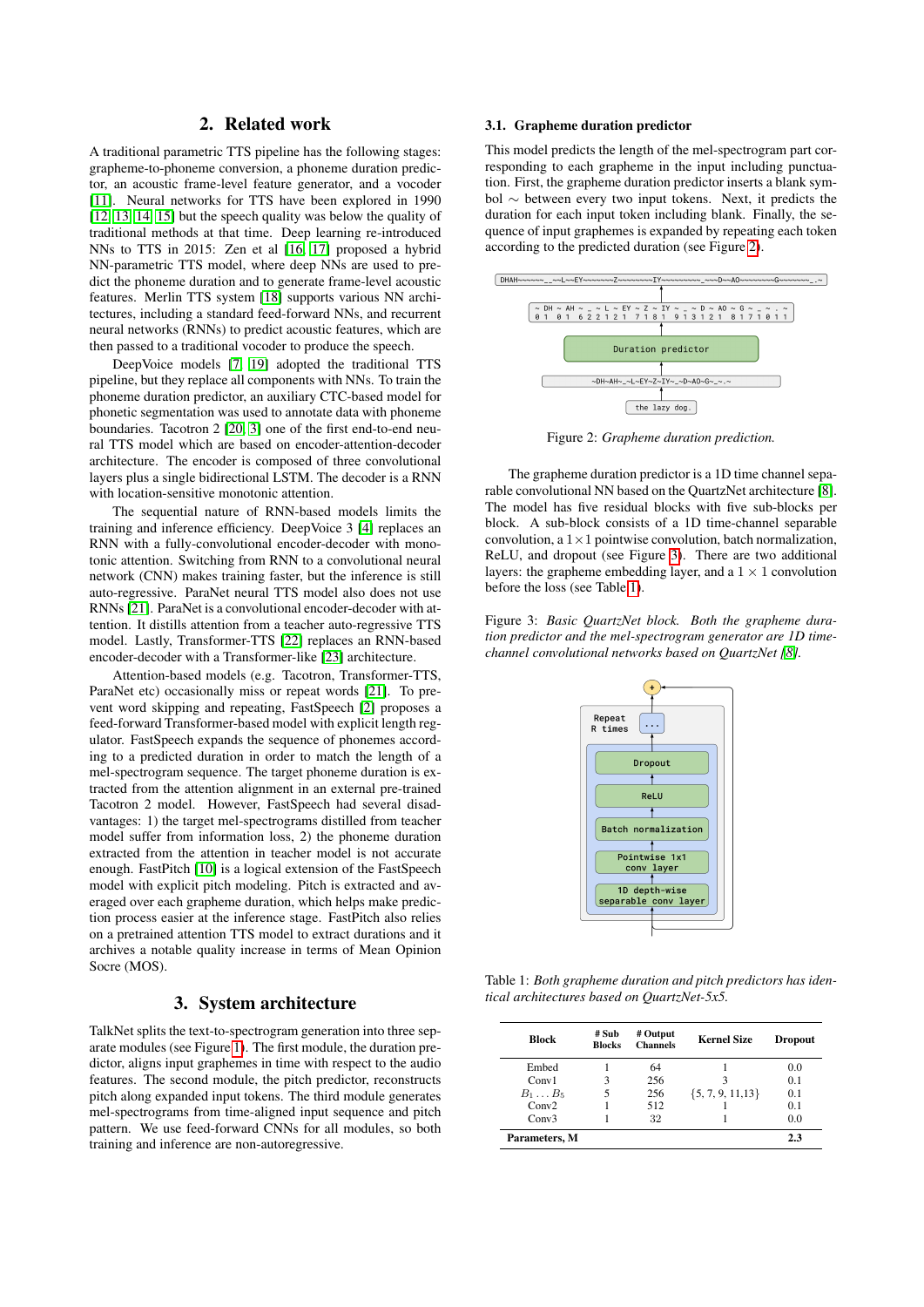# 2. Related work

A traditional parametric TTS pipeline has the following stages: grapheme-to-phoneme conversion, a phoneme duration predictor, an acoustic frame-level feature generator, and a vocoder [\[11\]](#page-4-3). Neural networks for TTS have been explored in 1990 [\[12,](#page-4-4) [13,](#page-4-5) [14,](#page-4-6) [15\]](#page-4-7) but the speech quality was below the quality of traditional methods at that time. Deep learning re-introduced NNs to TTS in 2015: Zen et al [\[16,](#page-4-8) [17\]](#page-4-9) proposed a hybrid NN-parametric TTS model, where deep NNs are used to predict the phoneme duration and to generate frame-level acoustic features. Merlin TTS system [\[18\]](#page-4-10) supports various NN architectures, including a standard feed-forward NNs, and recurrent neural networks (RNNs) to predict acoustic features, which are then passed to a traditional vocoder to produce the speech.

DeepVoice models [\[7,](#page-3-6) [19\]](#page-4-11) adopted the traditional TTS pipeline, but they replace all components with NNs. To train the phoneme duration predictor, an auxiliary CTC-based model for phonetic segmentation was used to annotate data with phoneme boundaries. Tacotron 2 [\[20,](#page-4-12) [3\]](#page-3-2) one of the first end-to-end neural TTS model which are based on encoder-attention-decoder architecture. The encoder is composed of three convolutional layers plus a single bidirectional LSTM. The decoder is a RNN with location-sensitive monotonic attention.

The sequential nature of RNN-based models limits the training and inference efficiency. DeepVoice 3 [\[4\]](#page-3-3) replaces an RNN with a fully-convolutional encoder-decoder with monotonic attention. Switching from RNN to a convolutional neural network (CNN) makes training faster, but the inference is still auto-regressive. ParaNet neural TTS model also does not use RNNs [\[21\]](#page-4-13). ParaNet is a convolutional encoder-decoder with attention. It distills attention from a teacher auto-regressive TTS model. Lastly, Transformer-TTS [\[22\]](#page-4-14) replaces an RNN-based encoder-decoder with a Transformer-like [\[23\]](#page-4-15) architecture.

Attention-based models (e.g. Tacotron, Transformer-TTS, ParaNet etc) occasionally miss or repeat words [\[21\]](#page-4-13). To prevent word skipping and repeating, FastSpeech [\[2\]](#page-3-1) proposes a feed-forward Transformer-based model with explicit length regulator. FastSpeech expands the sequence of phonemes according to a predicted duration in order to match the length of a mel-spectrogram sequence. The target phoneme duration is extracted from the attention alignment in an external pre-trained Tacotron 2 model. However, FastSpeech had several disadvantages: 1) the target mel-spectrograms distilled from teacher model suffer from information loss, 2) the phoneme duration extracted from the attention in teacher model is not accurate enough. FastPitch [\[10\]](#page-4-2) is a logical extension of the FastSpeech model with explicit pitch modeling. Pitch is extracted and averaged over each grapheme duration, which helps make prediction process easier at the inference stage. FastPitch also relies on a pretrained attention TTS model to extract durations and it archives a notable quality increase in terms of Mean Opinion Socre (MOS).

# 3. System architecture

TalkNet splits the text-to-spectrogram generation into three separate modules (see Figure [1\)](#page-0-0). The first module, the duration predictor, aligns input graphemes in time with respect to the audio features. The second module, the pitch predictor, reconstructs pitch along expanded input tokens. The third module generates mel-spectrograms from time-aligned input sequence and pitch pattern. We use feed-forward CNNs for all modules, so both training and inference are non-autoregressive.

### 3.1. Grapheme duration predictor

This model predicts the length of the mel-spectrogram part corresponding to each grapheme in the input including punctuation. First, the grapheme duration predictor inserts a blank symbol ∼ between every two input tokens. Next, it predicts the duration for each input token including blank. Finally, the sequence of input graphemes is expanded by repeating each token according to the predicted duration (see Figure [2\)](#page-1-0).

<span id="page-1-0"></span>

Figure 2: *Grapheme duration prediction.*

The grapheme duration predictor is a 1D time channel separable convolutional NN based on the QuartzNet architecture [\[8\]](#page-4-0). The model has five residual blocks with five sub-blocks per block. A sub-block consists of a 1D time-channel separable convolution, a  $1 \times 1$  pointwise convolution, batch normalization, ReLU, and dropout (see Figure [3\)](#page-1-1). There are two additional layers: the grapheme embedding layer, and a  $1 \times 1$  convolution before the loss (see Table [1\)](#page-1-2).

<span id="page-1-1"></span>Figure 3: *Basic QuartzNet block. Both the grapheme duration predictor and the mel-spectrogram generator are 1D timechannel convolutional networks based on QuartzNet [\[8\]](#page-4-0).*



<span id="page-1-2"></span>Table 1: *Both grapheme duration and pitch predictors has identical architectures based on QuartzNet-5x5.*

| Block            | # Sub<br><b>Blocks</b> | # Output<br><b>Channels</b> | <b>Kernel Size</b>    | <b>Dropout</b> |
|------------------|------------------------|-----------------------------|-----------------------|----------------|
| Embed            |                        | 64                          |                       | 0.0            |
| Conv1            | 3                      | 256                         | 3                     | 0.1            |
| $B_1 \ldots B_5$ | 5                      | 256                         | $\{5, 7, 9, 11, 13\}$ | 0.1            |
| Conv2            |                        | 512                         |                       | 0.1            |
| Conv3            |                        | 32                          |                       | 0.0            |
| Parameters, M    |                        |                             |                       | 2.3            |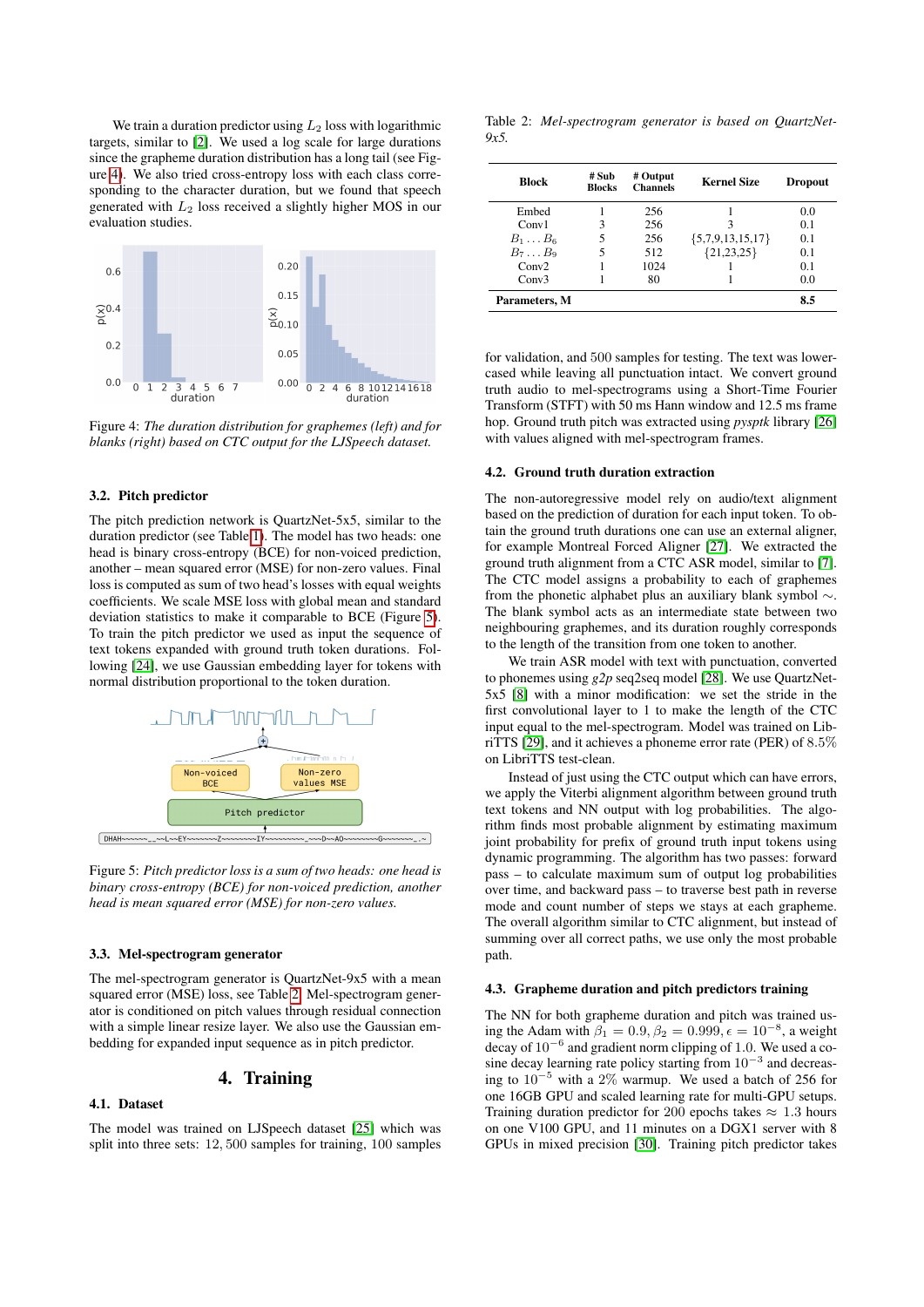We train a duration predictor using  $L_2$  loss with logarithmic targets, similar to [\[2\]](#page-3-1). We used a log scale for large durations since the grapheme duration distribution has a long tail (see Figure [4\)](#page-2-0). We also tried cross-entropy loss with each class corresponding to the character duration, but we found that speech generated with  $L_2$  loss received a slightly higher MOS in our evaluation studies.

<span id="page-2-0"></span>

Figure 4: *The duration distribution for graphemes (left) and for blanks (right) based on CTC output for the LJSpeech dataset.*

#### 3.2. Pitch predictor

The pitch prediction network is QuartzNet-5x5, similar to the duration predictor (see Table [1\)](#page-1-2). The model has two heads: one head is binary cross-entropy (BCE) for non-voiced prediction, another – mean squared error (MSE) for non-zero values. Final loss is computed as sum of two head's losses with equal weights coefficients. We scale MSE loss with global mean and standard deviation statistics to make it comparable to BCE (Figure [5\)](#page-2-1). To train the pitch predictor we used as input the sequence of text tokens expanded with ground truth token durations. Following [\[24\]](#page-4-16), we use Gaussian embedding layer for tokens with normal distribution proportional to the token duration.

<span id="page-2-1"></span>

Figure 5: *Pitch predictor loss is a sum of two heads: one head is binary cross-entropy (BCE) for non-voiced prediction, another head is mean squared error (MSE) for non-zero values.*

#### 3.3. Mel-spectrogram generator

The mel-spectrogram generator is QuartzNet-9x5 with a mean squared error (MSE) loss, see Table [2.](#page-2-2) Mel-spectrogram generator is conditioned on pitch values through residual connection with a simple linear resize layer. We also use the Gaussian embedding for expanded input sequence as in pitch predictor.

# 4. Training

#### 4.1. Dataset

The model was trained on LJSpeech dataset [\[25\]](#page-4-17) which was split into three sets: 12, 500 samples for training, 100 samples

<span id="page-2-2"></span>Table 2: *Mel-spectrogram generator is based on QuartzNet-9x5.*

| Block            | # Sub<br><b>Blocks</b> | # Output<br><b>Channels</b> | <b>Kernel Size</b> | <b>Dropout</b> |
|------------------|------------------------|-----------------------------|--------------------|----------------|
| Embed            |                        | 256                         |                    | 0.0            |
| Conv1            | 3                      | 256                         |                    | 0.1            |
| $B_1 \ldots B_6$ |                        | 256                         | ${5,7,9,13,15,17}$ | 0.1            |
| $B_7 \ldots B_9$ | 5                      | 512                         | ${21,23,25}$       | 0.1            |
| Conv2            |                        | 1024                        |                    | 0.1            |
| Conv3            |                        | 80                          |                    | 0.0            |
| Parameters, M    |                        |                             |                    | 8.5            |

for validation, and 500 samples for testing. The text was lowercased while leaving all punctuation intact. We convert ground truth audio to mel-spectrograms using a Short-Time Fourier Transform (STFT) with 50 ms Hann window and 12.5 ms frame hop. Ground truth pitch was extracted using *pysptk* library [\[26\]](#page-4-18) with values aligned with mel-spectrogram frames.

#### 4.2. Ground truth duration extraction

The non-autoregressive model rely on audio/text alignment based on the prediction of duration for each input token. To obtain the ground truth durations one can use an external aligner, for example Montreal Forced Aligner [\[27\]](#page-4-19). We extracted the ground truth alignment from a CTC ASR model, similar to [\[7\]](#page-3-6). The CTC model assigns a probability to each of graphemes from the phonetic alphabet plus an auxiliary blank symbol ∼. The blank symbol acts as an intermediate state between two neighbouring graphemes, and its duration roughly corresponds to the length of the transition from one token to another.

We train ASR model with text with punctuation, converted to phonemes using *g2p* seq2seq model [\[28\]](#page-4-20). We use QuartzNet-5x5 [\[8\]](#page-4-0) with a minor modification: we set the stride in the first convolutional layer to 1 to make the length of the CTC input equal to the mel-spectrogram. Model was trained on LibriTTS [\[29\]](#page-4-21), and it achieves a phoneme error rate (PER) of 8.5% on LibriTTS test-clean.

Instead of just using the CTC output which can have errors, we apply the Viterbi alignment algorithm between ground truth text tokens and NN output with log probabilities. The algorithm finds most probable alignment by estimating maximum joint probability for prefix of ground truth input tokens using dynamic programming. The algorithm has two passes: forward pass – to calculate maximum sum of output log probabilities over time, and backward pass – to traverse best path in reverse mode and count number of steps we stays at each grapheme. The overall algorithm similar to CTC alignment, but instead of summing over all correct paths, we use only the most probable path.

#### 4.3. Grapheme duration and pitch predictors training

The NN for both grapheme duration and pitch was trained using the Adam with  $\beta_1 = 0.9, \beta_2 = 0.999, \epsilon = 10^{-8}$ , a weight decay of  $10^{-6}$  and gradient norm clipping of 1.0. We used a cosine decay learning rate policy starting from  $10^{-3}$  and decreasing to  $10^{-5}$  with a 2% warmup. We used a batch of 256 for one 16GB GPU and scaled learning rate for multi-GPU setups. Training duration predictor for 200 epochs takes  $\approx 1.3$  hours on one V100 GPU, and 11 minutes on a DGX1 server with 8 GPUs in mixed precision [\[30\]](#page-4-22). Training pitch predictor takes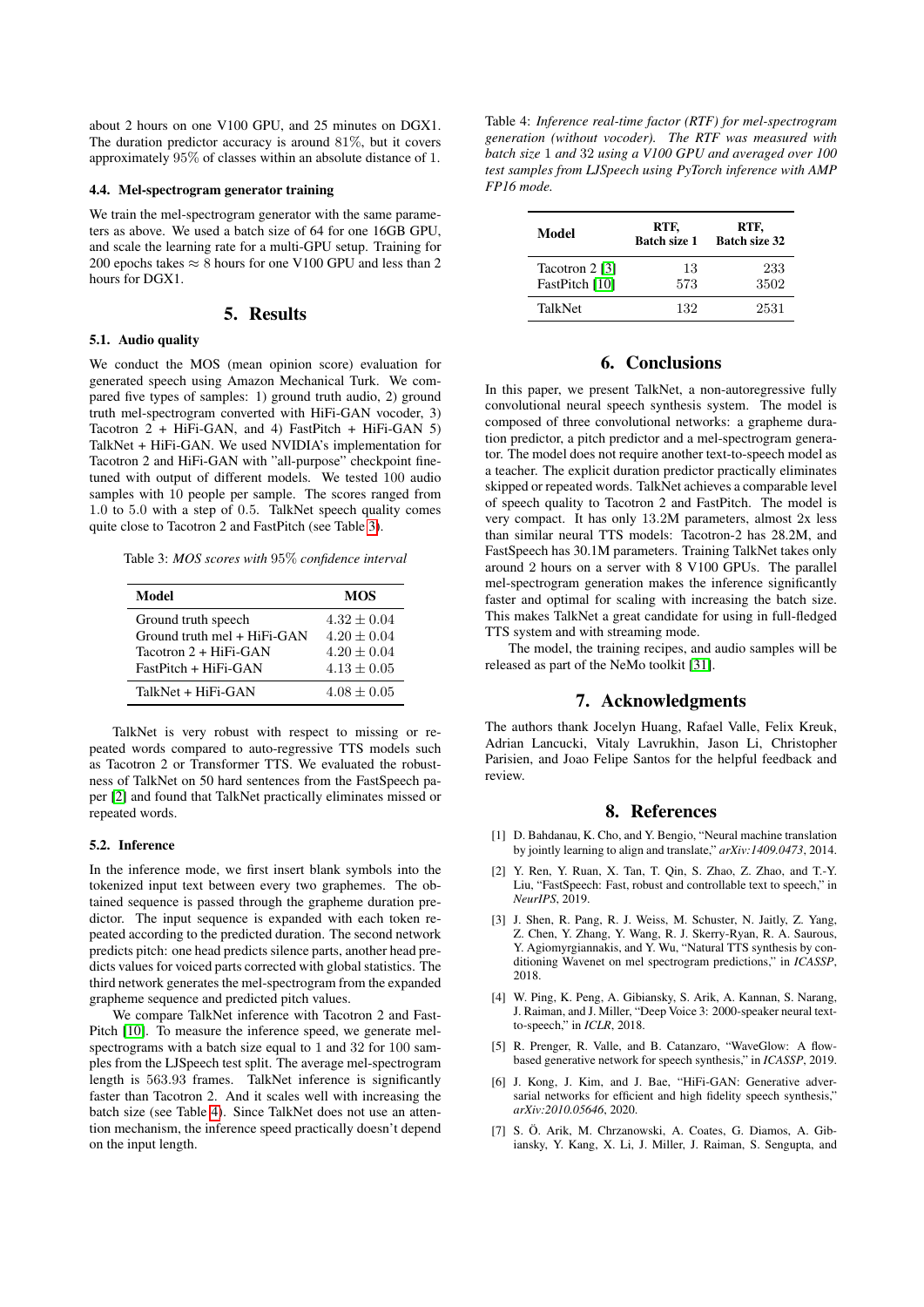about 2 hours on one V100 GPU, and 25 minutes on DGX1. The duration predictor accuracy is around 81%, but it covers approximately 95% of classes within an absolute distance of 1.

#### 4.4. Mel-spectrogram generator training

We train the mel-spectrogram generator with the same parameters as above. We used a batch size of 64 for one 16GB GPU, and scale the learning rate for a multi-GPU setup. Training for 200 epochs takes  $\approx 8$  hours for one V100 GPU and less than 2 hours for DGX1.

# 5. Results

#### 5.1. Audio quality

We conduct the MOS (mean opinion score) evaluation for generated speech using Amazon Mechanical Turk. We compared five types of samples: 1) ground truth audio, 2) ground truth mel-spectrogram converted with HiFi-GAN vocoder, 3) Tacotron 2 + HiFi-GAN, and 4) FastPitch + HiFi-GAN 5) TalkNet + HiFi-GAN. We used NVIDIA's implementation for Tacotron 2 and HiFi-GAN with "all-purpose" checkpoint finetuned with output of different models. We tested 100 audio samples with 10 people per sample. The scores ranged from 1.0 to 5.0 with a step of 0.5. TalkNet speech quality comes quite close to Tacotron 2 and FastPitch (see Table [3\)](#page-3-7).

<span id="page-3-7"></span>Table 3: *MOS scores with* 95% *confidence interval*

| Model                            | <b>MOS</b>    |
|----------------------------------|---------------|
| Ground truth speech              | $4.32 + 0.04$ |
| $Ground$ truth mel + HiFi- $GAN$ | $4.20 + 0.04$ |
| Tacotron 2 + HiFi-GAN            | $4.20 + 0.04$ |
| $FastPitch + HiFi-GAN$           | $4.13 + 0.05$ |
| TalkNet + HiFi-GAN               | $4.08 + 0.05$ |

TalkNet is very robust with respect to missing or repeated words compared to auto-regressive TTS models such as Tacotron 2 or Transformer TTS. We evaluated the robustness of TalkNet on 50 hard sentences from the FastSpeech paper [\[2\]](#page-3-1) and found that TalkNet practically eliminates missed or repeated words.

### 5.2. Inference

In the inference mode, we first insert blank symbols into the tokenized input text between every two graphemes. The obtained sequence is passed through the grapheme duration predictor. The input sequence is expanded with each token repeated according to the predicted duration. The second network predicts pitch: one head predicts silence parts, another head predicts values for voiced parts corrected with global statistics. The third network generates the mel-spectrogram from the expanded grapheme sequence and predicted pitch values.

We compare TalkNet inference with Tacotron 2 and Fast-Pitch [\[10\]](#page-4-2). To measure the inference speed, we generate melspectrograms with a batch size equal to 1 and 32 for 100 samples from the LJSpeech test split. The average mel-spectrogram length is 563.93 frames. TalkNet inference is significantly faster than Tacotron 2. And it scales well with increasing the batch size (see Table [4\)](#page-3-8). Since TalkNet does not use an attention mechanism, the inference speed practically doesn't depend on the input length.

<span id="page-3-8"></span>Table 4: *Inference real-time factor (RTF) for mel-spectrogram generation (without vocoder). The RTF was measured with batch size* 1 *and* 32 *using a V100 GPU and averaged over 100 test samples from LJSpeech using PyTorch inference with AMP FP16 mode.*

| Model                            | RTF,<br><b>Batch size 1</b> | RTF,<br><b>Batch size 32</b> |
|----------------------------------|-----------------------------|------------------------------|
| Tacotron 2 [3]<br>FastPitch [10] | 13<br>573                   | 233<br>3502                  |
| <b>TalkNet</b>                   | 132                         | 2531                         |

# 6. Conclusions

In this paper, we present TalkNet, a non-autoregressive fully convolutional neural speech synthesis system. The model is composed of three convolutional networks: a grapheme duration predictor, a pitch predictor and a mel-spectrogram generator. The model does not require another text-to-speech model as a teacher. The explicit duration predictor practically eliminates skipped or repeated words. TalkNet achieves a comparable level of speech quality to Tacotron 2 and FastPitch. The model is very compact. It has only 13.2M parameters, almost 2x less than similar neural TTS models: Tacotron-2 has 28.2M, and FastSpeech has 30.1M parameters. Training TalkNet takes only around 2 hours on a server with 8 V100 GPUs. The parallel mel-spectrogram generation makes the inference significantly faster and optimal for scaling with increasing the batch size. This makes TalkNet a great candidate for using in full-fledged TTS system and with streaming mode.

The model, the training recipes, and audio samples will be released as part of the NeMo toolkit [\[31\]](#page-4-23).

### 7. Acknowledgments

The authors thank Jocelyn Huang, Rafael Valle, Felix Kreuk, Adrian Lancucki, Vitaly Lavrukhin, Jason Li, Christopher Parisien, and Joao Felipe Santos for the helpful feedback and review.

### 8. References

- <span id="page-3-0"></span>[1] D. Bahdanau, K. Cho, and Y. Bengio, "Neural machine translation by jointly learning to align and translate," *arXiv:1409.0473*, 2014.
- <span id="page-3-1"></span>[2] Y. Ren, Y. Ruan, X. Tan, T. Qin, S. Zhao, Z. Zhao, and T.-Y. Liu, "FastSpeech: Fast, robust and controllable text to speech," in *NeurIPS*, 2019.
- <span id="page-3-2"></span>[3] J. Shen, R. Pang, R. J. Weiss, M. Schuster, N. Jaitly, Z. Yang, Z. Chen, Y. Zhang, Y. Wang, R. J. Skerry-Ryan, R. A. Saurous, Y. Agiomyrgiannakis, and Y. Wu, "Natural TTS synthesis by conditioning Wavenet on mel spectrogram predictions," in *ICASSP*, 2018.
- <span id="page-3-3"></span>[4] W. Ping, K. Peng, A. Gibiansky, S. Arik, A. Kannan, S. Narang, J. Raiman, and J. Miller, "Deep Voice 3: 2000-speaker neural textto-speech," in *ICLR*, 2018.
- <span id="page-3-4"></span>[5] R. Prenger, R. Valle, and B. Catanzaro, "WaveGlow: A flowbased generative network for speech synthesis," in *ICASSP*, 2019.
- <span id="page-3-5"></span>[6] J. Kong, J. Kim, and J. Bae, "HiFi-GAN: Generative adversarial networks for efficient and high fidelity speech synthesis," *arXiv:2010.05646*, 2020.
- <span id="page-3-6"></span>[7] S. Ö. Arik, M. Chrzanowski, A. Coates, G. Diamos, A. Gibiansky, Y. Kang, X. Li, J. Miller, J. Raiman, S. Sengupta, and